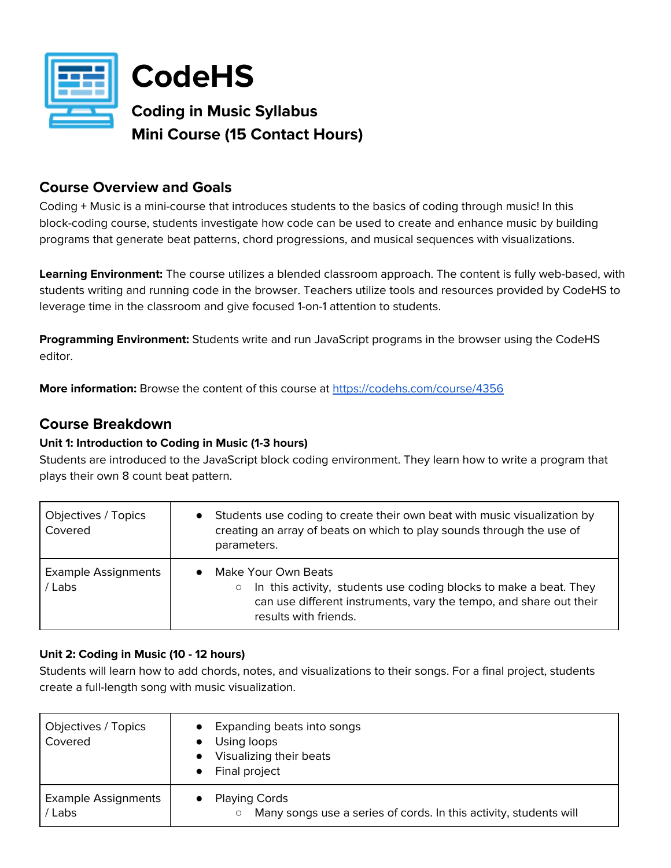

**CodeHS**

**Coding in Music Syllabus Mini Course (15 Contact Hours)**

## **Course Overview and Goals**

Coding + Music is a mini-course that introduces students to the basics of coding through music! In this block-coding course, students investigate how code can be used to create and enhance music by building programs that generate beat patterns, chord progressions, and musical sequences with visualizations.

**Learning Environment:** The course utilizes a blended classroom approach. The content is fully web-based, with students writing and running code in the browser. Teachers utilize tools and resources provided by CodeHS to leverage time in the classroom and give focused 1-on-1 attention to students.

**Programming Environment:** Students write and run JavaScript programs in the browser using the CodeHS editor.

**More information:** Browse the content of this course at <https://codehs.com/course/4356>

## **Course Breakdown**

## **Unit 1: Introduction to Coding in Music (1-3 hours)**

Students are introduced to the JavaScript block coding environment. They learn how to write a program that plays their own 8 count beat pattern.

| Objectives / Topics<br>Covered       | Students use coding to create their own beat with music visualization by<br>$\bullet$<br>creating an array of beats on which to play sounds through the use of<br>parameters.                                   |
|--------------------------------------|-----------------------------------------------------------------------------------------------------------------------------------------------------------------------------------------------------------------|
| <b>Example Assignments</b><br>/ Labs | Make Your Own Beats<br>$\bullet$<br>In this activity, students use coding blocks to make a beat. They<br>$\circ$<br>can use different instruments, vary the tempo, and share out their<br>results with friends. |

## **Unit 2: Coding in Music (10 - 12 hours)**

Students will learn how to add chords, notes, and visualizations to their songs. For a final project, students create a full-length song with music visualization.

| Objectives / Topics<br>Covered      | Expanding beats into songs<br>Using loops<br>Visualizing their beats<br>Final project          |
|-------------------------------------|------------------------------------------------------------------------------------------------|
| <b>Example Assignments</b><br>/Labs | <b>Playing Cords</b><br>Many songs use a series of cords. In this activity, students will<br>O |